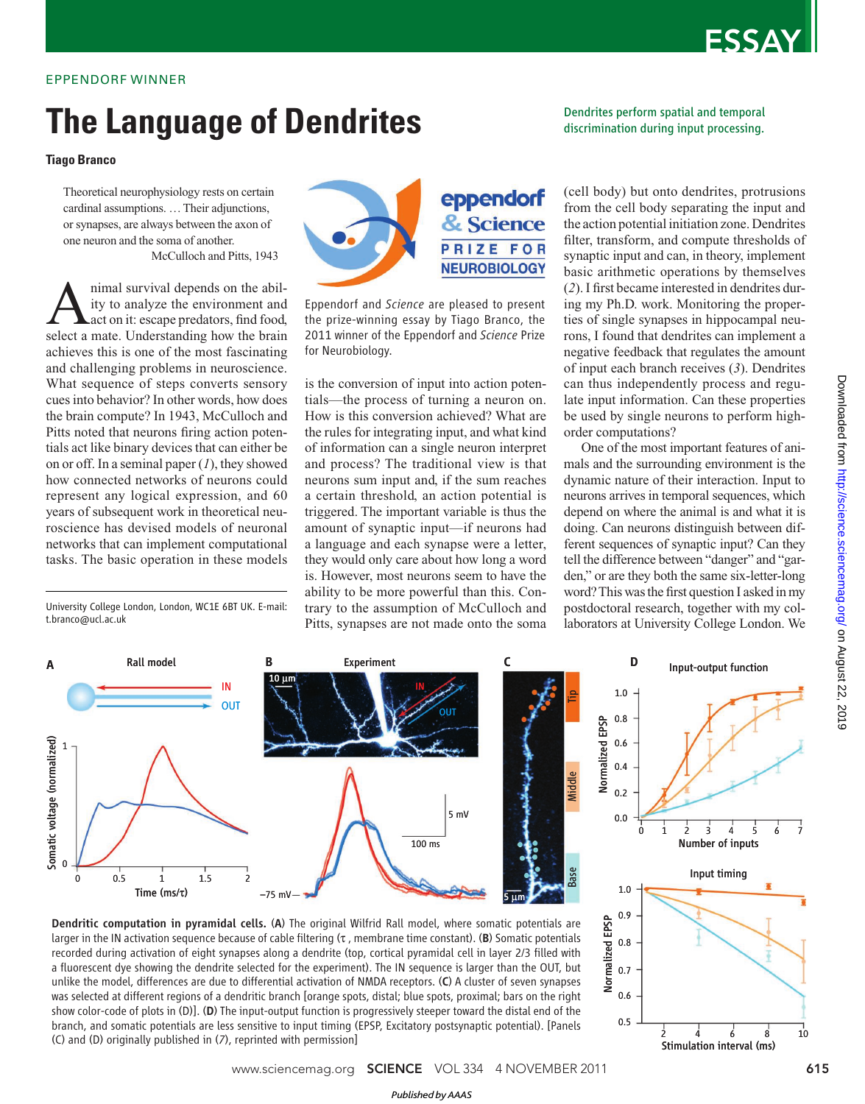## ESSAY

### EPPENDORF WINNER

# **The Language of Dendrites**

### **Tiago Branco**

Theoretical neurophysiology rests on certain cardinal assumptions. … Their adjunctions, or synapses, are always between the axon of one neuron and the soma of another. McCulloch and Pitts, 1943

A nimal survival depends on the abil-<br>ity to analyze the environment and<br>select a mate. Understanding how the brain nimal survival depends on the ability to analyze the environment and act on it: escape predators, find food, achieves this is one of the most fascinating and challenging problems in neuroscience. What sequence of steps converts sensory cues into behavior? In other words, how does the brain compute? In 1943, McCulloch and Pitts noted that neurons firing action potentials act like binary devices that can either be on or off. In a seminal paper (*1*), they showed how connected networks of neurons could represent any logical expression, and 60 years of subsequent work in theoretical neuroscience has devised models of neuronal networks that can implement computational tasks. The basic operation in these models

University College London, London, WC1E 6BT UK. E-mail: t.branco@ucl.ac.uk



Eppendorf and *Science* are pleased to present the prize-winning essay by Tiago Branco, the 2011 winner of the Eppendorf and *Science* Prize for Neurobiology.

is the conversion of input into action potentials—the process of turning a neuron on. How is this conversion achieved? What are the rules for integrating input, and what kind of information can a single neuron interpret and process? The traditional view is that neurons sum input and, if the sum reaches a certain threshold, an action potential is triggered. The important variable is thus the amount of synaptic input—if neurons had a language and each synapse were a letter, they would only care about how long a word is. However, most neurons seem to have the ability to be more powerful than this. Contrary to the assumption of McCulloch and Pitts, synapses are not made onto the soma Dendrites perform spatial and temporal discrimination during input processing.

(cell body) but onto dendrites, protrusions from the cell body separating the input and the action potential initiation zone. Dendrites filter, transform, and compute thresholds of synaptic input and can, in theory, implement basic arithmetic operations by themselves (2). I first became interested in dendrites during my Ph.D. work. Monitoring the properties of single synapses in hippocampal neurons, I found that dendrites can implement a negative feedback that regulates the amount of input each branch receives (*3*). Dendrites can thus independently process and regulate input information. Can these properties be used by single neurons to perform highorder computations?

One of the most important features of animals and the surrounding environment is the dynamic nature of their interaction. Input to neurons arrives in temporal sequences, which depend on where the animal is and what it is doing. Can neurons distinguish between different sequences of synaptic input? Can they tell the difference between "danger" and "garden," or are they both the same six-letter-long word? This was the first question I asked in my postdoctoral research, together with my collaborators at University College London. We



Dendritic computation in pyramidal cells. (A) The original Wilfrid Rall model, where somatic potentials are larger in the IN activation sequence because of cable filtering (τ, membrane time constant). (B) Somatic potentials recorded during activation of eight synapses along a dendrite (top, cortical pyramidal cell in layer 2/3 filled with a fluorescent dye showing the dendrite selected for the experiment). The IN sequence is larger than the OUT, but unlike the model, differences are due to differential activation of NMDA receptors. (C) A cluster of seven synapses was selected at different regions of a dendritic branch [orange spots, distal; blue spots, proximal; bars on the right show color-code of plots in (D)]. (D) The input-output function is progressively steeper toward the distal end of the branch, and somatic potentials are less sensitive to input timing (EPSP, Excitatory postsynaptic potential). [Panels (C) and (D) originally published in (*7*), reprinted with permission]



Normalized EPSP

Normalized EPSP

0.5 0.6 0.7 0.8

2 4 6 8 10<br>Stimulation interval (ms)

*Published byAAAS*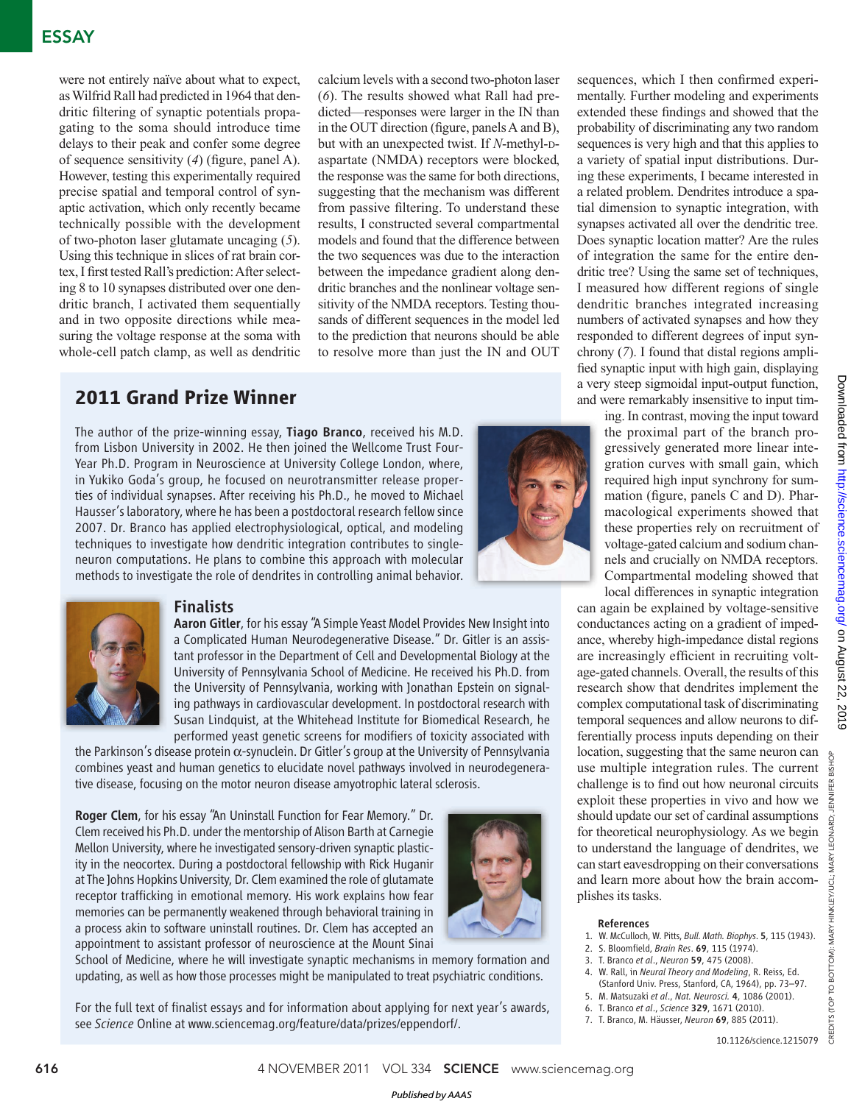## ESSAY

were not entirely naïve about what to expect, as Wilfrid Rall had predicted in 1964 that dendritic filtering of synaptic potentials propagating to the soma should introduce time delays to their peak and confer some degree of sequence sensitivity (4) (figure, panel A). However, testing this experimentally required precise spatial and temporal control of synaptic activation, which only recently became technically possible with the development of two-photon laser glutamate uncaging (*5*). Using this technique in slices of rat brain cortex, I first tested Rall's prediction: After selecting 8 to 10 synapses distributed over one dendritic branch, I activated them sequentially and in two opposite directions while measuring the voltage response at the soma with whole-cell patch clamp, as well as dendritic

calcium levels with a second two-photon laser (*6*). The results showed what Rall had predicted—responses were larger in the IN than in the OUT direction (figure, panels A and B), but with an unexpected twist. If *N*-methyl-Daspartate (NMDA) receptors were blocked, the response was the same for both directions, suggesting that the mechanism was different from passive filtering. To understand these results, I constructed several compartmental models and found that the difference between the two sequences was due to the interaction between the impedance gradient along dendritic branches and the nonlinear voltage sensitivity of the NMDA receptors. Testing thousands of different sequences in the model led to the prediction that neurons should be able to resolve more than just the IN and OUT

## **2011 Grand Prize Winner**

The author of the prize-winning essay, Tiago Branco, received his M.D. from Lisbon University in 2002. He then joined the Wellcome Trust Four-Year Ph.D. Program in Neuroscience at University College London, where, in Yukiko Goda's group, he focused on neurotransmitter release properties of individual synapses. After receiving his Ph.D., he moved to Michael Hausser's laboratory, where he has been a postdoctoral research fellow since 2007. Dr. Branco has applied electrophysiological, optical, and modeling techniques to investigate how dendritic integration contributes to singleneuron computations. He plans to combine this approach with molecular methods to investigate the role of dendrites in controlling animal behavior.





### **Finalists**

Aaron Gitler, for his essay "A Simple Yeast Model Provides New Insight into a Complicated Human Neurodegenerative Disease." Dr. Gitler is an assistant professor in the Department of Cell and Developmental Biology at the University of Pennsylvania School of Medicine. He received his Ph.D. from the University of Pennsylvania, working with Jonathan Epstein on signaling pathways in cardiovascular development. In postdoctoral research with Susan Lindquist, at the Whitehead Institute for Biomedical Research, he performed yeast genetic screens for modifiers of toxicity associated with

the Parkinson's disease protein α-synuclein. Dr Gitler's group at the University of Pennsylvania combines yeast and human genetics to elucidate novel pathways involved in neurodegenerative disease, focusing on the motor neuron disease amyotrophic lateral sclerosis.

Roger Clem, for his essay "An Uninstall Function for Fear Memory." Dr. Clem received his Ph.D. under the mentorship of Alison Barth at Carnegie Mellon University, where he investigated sensory-driven synaptic plasticity in the neocortex. During a postdoctoral fellowship with Rick Huganir at The Johns Hopkins University, Dr. Clem examined the role of glutamate receptor trafficking in emotional memory. His work explains how fear memories can be permanently weakened through behavioral training in a process akin to software uninstall routines. Dr. Clem has accepted an appointment to assistant professor of neuroscience at the Mount Sinai



School of Medicine, where he will investigate synaptic mechanisms in memory formation and updating, as well as how those processes might be manipulated to treat psychiatric conditions.

For the full text of finalist essays and for information about applying for next year's awards, see *Science* Online at www.sciencemag.org/feature/data/prizes/eppendorf/.

sequences, which I then confirmed experimentally. Further modeling and experiments extended these findings and showed that the probability of discriminating any two random sequences is very high and that this applies to a variety of spatial input distributions. During these experiments, I became interested in a related problem. Dendrites introduce a spatial dimension to synaptic integration, with synapses activated all over the dendritic tree. Does synaptic location matter? Are the rules of integration the same for the entire dendritic tree? Using the same set of techniques, I measured how different regions of single dendritic branches integrated increasing numbers of activated synapses and how they responded to different degrees of input synchrony (*7*). I found that distal regions amplified synaptic input with high gain, displaying a very steep sigmoidal input-output function, and were remarkably insensitive to input tim-

> ing. In contrast, moving the input toward the proximal part of the branch progressively generated more linear integration curves with small gain, which required high input synchrony for summation (figure, panels  $C$  and  $D$ ). Pharmacological experiments showed that these properties rely on recruitment of voltage-gated calcium and sodium channels and crucially on NMDA receptors. Compartmental modeling showed that local differences in synaptic integration

can again be explained by voltage-sensitive conductances acting on a gradient of impedance, whereby high-impedance distal regions are increasingly efficient in recruiting voltage-gated channels. Overall, the results of this research show that dendrites implement the complex computational task of discriminating temporal sequences and allow neurons to differentially process inputs depending on their location, suggesting that the same neuron can use multiple integration rules. The current challenge is to find out how neuronal circuits exploit these properties in vivo and how we should update our set of cardinal assumptions for theoretical neurophysiology. As we begin to understand the language of dendrites, we can start eavesdropping on their conversations and learn more about how the brain accomplishes its tasks.

- 1. W. McCulloch, W. Pitts, *Bull. Math. Biophys*. 5, 115 (1943).
- 2. S. Bloomfield, *Brain Res*. 69, 115 (1974).
- 3. T. Branco *et al*., *Neuron* 59, 475 (2008).
- 4. W. Rall, in *Neural Theory and Modeling*, R. Reiss, Ed. (Stanford Univ. Press, Stanford, CA, 1964), pp. 73–97.
- 5. M. Matsuzaki *et al*., *Nat. Neurosci.* 4, 1086 (2001).
- 6. T. Branco *et al*., *Science* 329, 1671 (2010). 7. T. Branco, M. Häusser, *Neuron* 69, 885 (2011).

CREDITS (TOP TO BOTTOM): MARY HINKLEY/UCL; MARY LEONARD; JENNIFER BISHOP

CREDITS (TOP TO BOTTOM): MARY HINKLEY/UCL; MARY LEONARD;

JENNIFER